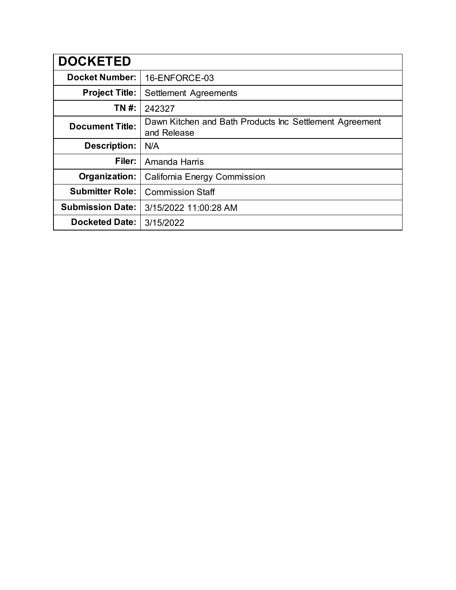| <b>DOCKETED</b>         |                                                                        |  |
|-------------------------|------------------------------------------------------------------------|--|
| <b>Docket Number:</b>   | 16-ENFORCE-03                                                          |  |
| <b>Project Title:</b>   | Settlement Agreements                                                  |  |
| TN #:                   | 242327                                                                 |  |
| <b>Document Title:</b>  | Dawn Kitchen and Bath Products Inc Settlement Agreement<br>and Release |  |
| <b>Description:</b>     | N/A                                                                    |  |
| Filer:                  | Amanda Harris                                                          |  |
| Organization:           | California Energy Commission                                           |  |
| <b>Submitter Role:</b>  | <b>Commission Staff</b>                                                |  |
| <b>Submission Date:</b> | 3/15/2022 11:00:28 AM                                                  |  |
| <b>Docketed Date:</b>   | 3/15/2022                                                              |  |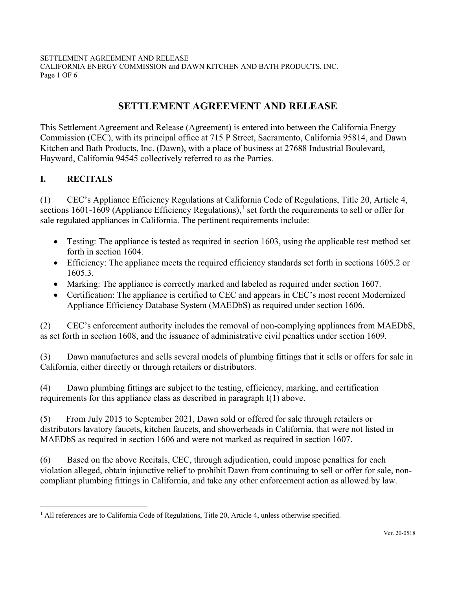SETTLEMENT AGREEMENT AND RELEASE CALIFORNIA ENERGY COMMISSION and DAWN KITCHEN AND BATH PRODUCTS, INC. Page 1 OF 6

# **SETTLEMENT AGREEMENT AND RELEASE**

This Settlement Agreement and Release (Agreement) is entered into between the California Energy Commission (CEC), with its principal office at 715 P Street, Sacramento, California 95814, and Dawn Kitchen and Bath Products, Inc. (Dawn), with a place of business at 27688 Industrial Boulevard, Hayward, California 94545 collectively referred to as the Parties.

## **I. RECITALS**

(1) CEC's Appliance Efficiency Regulations at California Code of Regulations, Title 20, Article 4, sections [1](#page-1-0)601-1609 (Appliance Efficiency Regulations),<sup>1</sup> set forth the requirements to sell or offer for sale regulated appliances in California. The pertinent requirements include:

- Testing: The appliance is tested as required in section 1603, using the applicable test method set forth in section 1604.
- Efficiency: The appliance meets the required efficiency standards set forth in sections 1605.2 or 1605.3.
- Marking: The appliance is correctly marked and labeled as required under section 1607.
- Certification: The appliance is certified to CEC and appears in CEC's most recent Modernized Appliance Efficiency Database System (MAEDbS) as required under section 1606.

(2) CEC's enforcement authority includes the removal of non-complying appliances from MAEDbS, as set forth in section 1608, and the issuance of administrative civil penalties under section 1609.

(3) Dawn manufactures and sells several models of plumbing fittings that it sells or offers for sale in California, either directly or through retailers or distributors.

(4) Dawn plumbing fittings are subject to the testing, efficiency, marking, and certification requirements for this appliance class as described in paragraph I(1) above.

(5) From July 2015 to September 2021, Dawn sold or offered for sale through retailers or distributors lavatory faucets, kitchen faucets, and showerheads in California, that were not listed in MAEDbS as required in section 1606 and were not marked as required in section 1607.

(6) Based on the above Recitals, CEC, through adjudication, could impose penalties for each violation alleged, obtain injunctive relief to prohibit Dawn from continuing to sell or offer for sale, noncompliant plumbing fittings in California, and take any other enforcement action as allowed by law.

<span id="page-1-0"></span><sup>&</sup>lt;sup>1</sup> All references are to California Code of Regulations, Title 20, Article 4, unless otherwise specified.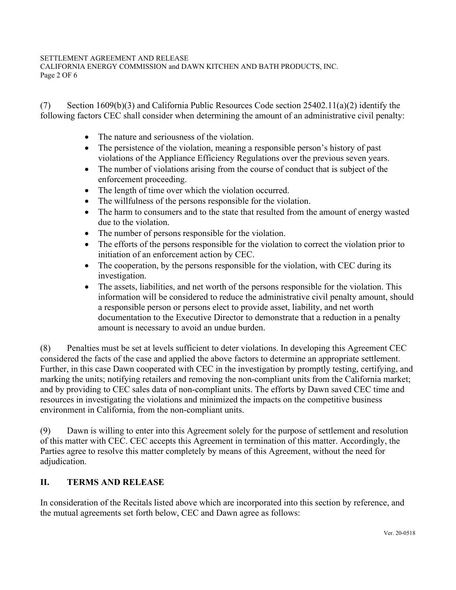### SETTLEMENT AGREEMENT AND RELEASE

CALIFORNIA ENERGY COMMISSION and DAWN KITCHEN AND BATH PRODUCTS, INC. Page 2 OF 6

(7) Section 1609(b)(3) and California Public Resources Code section 25402.11(a)(2) identify the following factors CEC shall consider when determining the amount of an administrative civil penalty:

- The nature and seriousness of the violation.
- The persistence of the violation, meaning a responsible person's history of past violations of the Appliance Efficiency Regulations over the previous seven years.
- The number of violations arising from the course of conduct that is subject of the enforcement proceeding.
- The length of time over which the violation occurred.
- The willfulness of the persons responsible for the violation.
- The harm to consumers and to the state that resulted from the amount of energy wasted due to the violation.
- The number of persons responsible for the violation.
- The efforts of the persons responsible for the violation to correct the violation prior to initiation of an enforcement action by CEC.
- The cooperation, by the persons responsible for the violation, with CEC during its investigation.
- The assets, liabilities, and net worth of the persons responsible for the violation. This information will be considered to reduce the administrative civil penalty amount, should a responsible person or persons elect to provide asset, liability, and net worth documentation to the Executive Director to demonstrate that a reduction in a penalty amount is necessary to avoid an undue burden.

(8) Penalties must be set at levels sufficient to deter violations. In developing this Agreement CEC considered the facts of the case and applied the above factors to determine an appropriate settlement. Further, in this case Dawn cooperated with CEC in the investigation by promptly testing, certifying, and marking the units; notifying retailers and removing the non-compliant units from the California market; and by providing to CEC sales data of non-compliant units. The efforts by Dawn saved CEC time and resources in investigating the violations and minimized the impacts on the competitive business environment in California, from the non-compliant units.

(9) Dawn is willing to enter into this Agreement solely for the purpose of settlement and resolution of this matter with CEC. CEC accepts this Agreement in termination of this matter. Accordingly, the Parties agree to resolve this matter completely by means of this Agreement, without the need for adjudication.

## **II. TERMS AND RELEASE**

In consideration of the Recitals listed above which are incorporated into this section by reference, and the mutual agreements set forth below, CEC and Dawn agree as follows: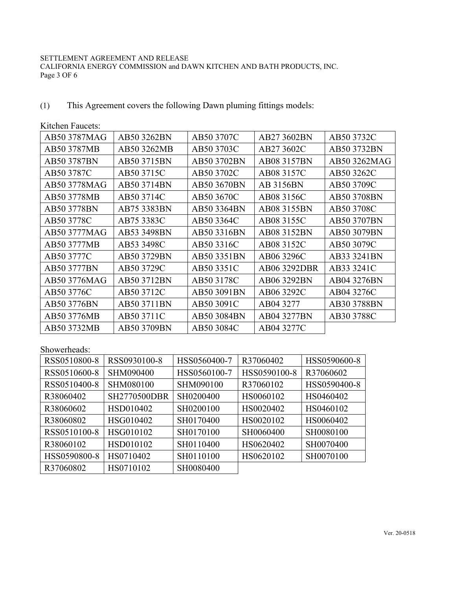#### SETTLEMENT AGREEMENT AND RELEASE

CALIFORNIA ENERGY COMMISSION and DAWN KITCHEN AND BATH PRODUCTS, INC. Page 3 OF 6

(1) This Agreement covers the following Dawn pluming fittings models:

| ixiwiivii 1 auveis. |             |             |                  |              |
|---------------------|-------------|-------------|------------------|--------------|
| AB50 3787MAG        | AB50 3262BN | AB50 3707C  | AB27 3602BN      | AB50 3732C   |
| AB50 3787MB         | AB50 3262MB | AB50 3703C  | AB27 3602C       | AB50 3732BN  |
| AB50 3787BN         | AB50 3715BN | AB50 3702BN | AB08 3157BN      | AB50 3262MAG |
| AB50 3787C          | AB50 3715C  | AB50 3702C  | AB08 3157C       | AB50 3262C   |
| AB50 3778MAG        | AB50 3714BN | AB50 3670BN | <b>AB 3156BN</b> | AB50 3709C   |
| AB50 3778MB         | AB50 3714C  | AB50 3670C  | AB08 3156C       | AB50 3708BN  |
| AB50 3778BN         | AB75 3383BN | AB50 3364BN | AB08 3155BN      | AB50 3708C   |
| AB50 3778C          | AB75 3383C  | AB50 3364C  | AB08 3155C       | AB50 3707BN  |
| AB50 3777MAG        | AB53 3498BN | AB50 3316BN | AB08 3152BN      | AB50 3079BN  |
| AB50 3777MB         | AB53 3498C  | AB50 3316C  | AB08 3152C       | AB50 3079C   |
| AB50 3777C          | AB50 3729BN | AB50 3351BN | AB06 3296C       | AB33 3241BN  |
| AB50 3777BN         | AB50 3729C  | AB50 3351C  | AB06 3292DBR     | AB33 3241C   |
| AB50 3776MAG        | AB50 3712BN | AB50 3178C  | AB06 3292BN      | AB04 3276BN  |
| AB50 3776C          | AB50 3712C  | AB50 3091BN | AB06 3292C       | AB04 3276C   |
| AB50 3776BN         | AB50 3711BN | AB50 3091C  | AB04 3277        | AB30 3788BN  |
| AB50 3776MB         | AB50 3711C  | AB50 3084BN | AB04 3277BN      | AB30 3788C   |
| AB50 3732MB         | AB50 3709BN | AB50 3084C  | AB04 3277C       |              |

## Kitchen Faucets:

## Showerheads:

| RSS0510800-8 | RSS0930100-8        | HSS0560400-7 | R37060402    | HSS0590600-8 |
|--------------|---------------------|--------------|--------------|--------------|
| RSS0510600-8 | SHM090400           | HSS0560100-7 | HSS0590100-8 | R37060602    |
| RSS0510400-8 | SHM080100           | SHM090100    | R37060102    | HSS0590400-8 |
| R38060402    | <b>SH2770500DBR</b> | SH0200400    | HS0060102    | HS0460402    |
| R38060602    | HSD010402           | SH0200100    | HS0020402    | HS0460102    |
| R38060802    | HSG010402           | SH0170400    | HS0020102    | HS0060402    |
| RSS0510100-8 | HSG010102           | SH0170100    | SH0060400    | SH0080100    |
| R38060102    | HSD010102           | SH0110400    | HS0620402    | SH0070400    |
| HSS0590800-8 | HS0710402           | SH0110100    | HS0620102    | SH0070100    |
| R37060802    | HS0710102           | SH0080400    |              |              |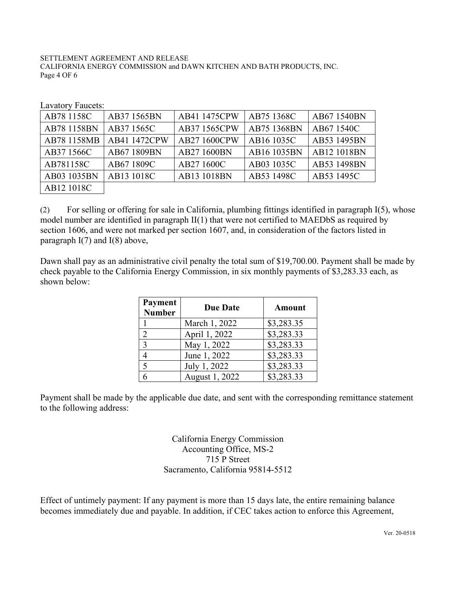SETTLEMENT AGREEMENT AND RELEASE CALIFORNIA ENERGY COMMISSION and DAWN KITCHEN AND BATH PRODUCTS, INC. Page 4 OF 6

| AB78 1158C  | AB37 1565BN  | AB41 1475CPW | AB75 1368C  | AB67 1540BN |
|-------------|--------------|--------------|-------------|-------------|
| AB78 1158BN | AB37 1565C   | AB37 1565CPW | AB75 1368BN | AB67 1540C  |
| AB78 1158MB | AB41 1472CPW | AB27 1600CPW | AB16 1035C  | AB53 1495BN |
| AB37 1566C  | AB67 1809BN  | AB27 1600BN  | AB16 1035BN | AB12 1018BN |
| AB781158C   | AB67 1809C   | AB27 1600C   | AB03 1035C  | AB53 1498BN |
| AB03 1035BN | AB13 1018C   | AB13 1018BN  | AB53 1498C  | AB53 1495C  |
| AB12 1018C  |              |              |             |             |

Lavatory Faucets:

(2) For selling or offering for sale in California, plumbing fittings identified in paragraph I(5), whose model number are identified in paragraph II(1) that were not certified to MAEDbS as required by section 1606, and were not marked per section 1607, and, in consideration of the factors listed in paragraph  $I(7)$  and  $I(8)$  above,

Dawn shall pay as an administrative civil penalty the total sum of \$19,700.00. Payment shall be made by check payable to the California Energy Commission, in six monthly payments of \$3,283.33 each, as shown below:

| <b>Payment</b><br><b>Number</b> | <b>Due Date</b> | <b>Amount</b> |
|---------------------------------|-----------------|---------------|
|                                 | March 1, 2022   | \$3,283.35    |
| $\mathcal{D}$                   | April 1, 2022   | \$3,283.33    |
| 3                               | May 1, 2022     | \$3,283.33    |
|                                 | June 1, 2022    | \$3,283.33    |
| $\overline{\mathcal{L}}$        | July 1, 2022    | \$3,283.33    |
|                                 | August 1, 2022  | \$3,283.33    |

Payment shall be made by the applicable due date, and sent with the corresponding remittance statement to the following address:

> California Energy Commission Accounting Office, MS-2 715 P Street Sacramento, California 95814-5512

Effect of untimely payment: If any payment is more than 15 days late, the entire remaining balance becomes immediately due and payable. In addition, if CEC takes action to enforce this Agreement,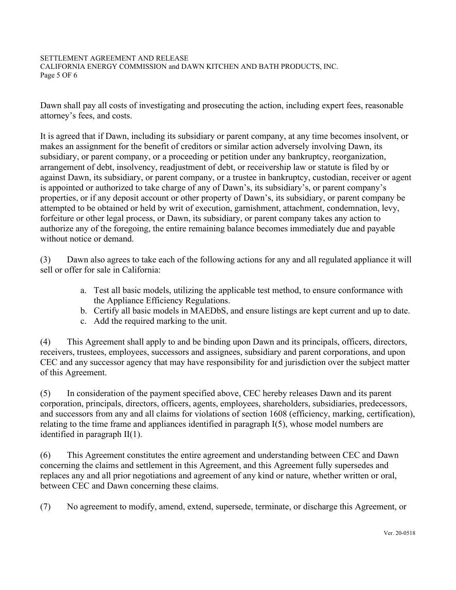### SETTLEMENT AGREEMENT AND RELEASE

CALIFORNIA ENERGY COMMISSION and DAWN KITCHEN AND BATH PRODUCTS, INC. Page 5 OF 6

Dawn shall pay all costs of investigating and prosecuting the action, including expert fees, reasonable attorney's fees, and costs.

It is agreed that if Dawn, including its subsidiary or parent company, at any time becomes insolvent, or makes an assignment for the benefit of creditors or similar action adversely involving Dawn, its subsidiary, or parent company, or a proceeding or petition under any bankruptcy, reorganization, arrangement of debt, insolvency, readjustment of debt, or receivership law or statute is filed by or against Dawn, its subsidiary, or parent company, or a trustee in bankruptcy, custodian, receiver or agent is appointed or authorized to take charge of any of Dawn's, its subsidiary's, or parent company's properties, or if any deposit account or other property of Dawn's, its subsidiary, or parent company be attempted to be obtained or held by writ of execution, garnishment, attachment, condemnation, levy, forfeiture or other legal process, or Dawn, its subsidiary, or parent company takes any action to authorize any of the foregoing, the entire remaining balance becomes immediately due and payable without notice or demand.

(3) Dawn also agrees to take each of the following actions for any and all regulated appliance it will sell or offer for sale in California:

- a. Test all basic models, utilizing the applicable test method, to ensure conformance with the Appliance Efficiency Regulations.
- b. Certify all basic models in MAEDbS, and ensure listings are kept current and up to date.
- c. Add the required marking to the unit.

(4) This Agreement shall apply to and be binding upon Dawn and its principals, officers, directors, receivers, trustees, employees, successors and assignees, subsidiary and parent corporations, and upon CEC and any successor agency that may have responsibility for and jurisdiction over the subject matter of this Agreement.

(5) In consideration of the payment specified above, CEC hereby releases Dawn and its parent corporation, principals, directors, officers, agents, employees, shareholders, subsidiaries, predecessors, and successors from any and all claims for violations of section 1608 (efficiency, marking, certification), relating to the time frame and appliances identified in paragraph I(5), whose model numbers are identified in paragraph II(1).

(6) This Agreement constitutes the entire agreement and understanding between CEC and Dawn concerning the claims and settlement in this Agreement, and this Agreement fully supersedes and replaces any and all prior negotiations and agreement of any kind or nature, whether written or oral, between CEC and Dawn concerning these claims.

(7) No agreement to modify, amend, extend, supersede, terminate, or discharge this Agreement, or